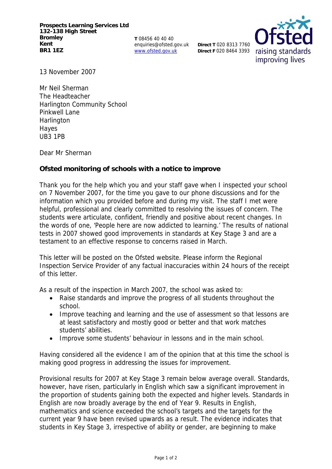**Prospects Learning Services Ltd 132-138 High Street Bromley Kent BR1 1EZ**

**T** 08456 40 40 40 enquiries@ofsted.gov.uk www.ofsted.gov.uk

**Direct T** 020 8313 7760 **Direct F** 020 8464 3393



13 November 2007

Mr Neil Sherman The Headteacher Harlington Community School Pinkwell Lane **Harlington** Hayes UB3 1PB

Dear Mr Sherman

**Ofsted monitoring of schools with a notice to improve**

Thank you for the help which you and your staff gave when I inspected your school on 7 November 2007, for the time you gave to our phone discussions and for the information which you provided before and during my visit. The staff I met were helpful, professional and clearly committed to resolving the issues of concern. The students were articulate, confident, friendly and positive about recent changes. In the words of one, 'People here are now addicted to learning.' The results of national tests in 2007 showed good improvements in standards at Key Stage 3 and are a testament to an effective response to concerns raised in March.

This letter will be posted on the Ofsted website. Please inform the Regional Inspection Service Provider of any factual inaccuracies within 24 hours of the receipt of this letter.

As a result of the inspection in March 2007, the school was asked to:

- Raise standards and improve the progress of all students throughout the school.
- Improve teaching and learning and the use of assessment so that lessons are at least satisfactory and mostly good or better and that work matches students' abilities.
- Improve some students' behaviour in lessons and in the main school.

Having considered all the evidence I am of the opinion that at this time the school is making good progress in addressing the issues for improvement.

Provisional results for 2007 at Key Stage 3 remain below average overall. Standards, however, have risen, particularly in English which saw a significant improvement in the proportion of students gaining both the expected and higher levels. Standards in English are now broadly average by the end of Year 9. Results in English, mathematics and science exceeded the school's targets and the targets for the current year 9 have been revised upwards as a result. The evidence indicates that students in Key Stage 3, irrespective of ability or gender, are beginning to make